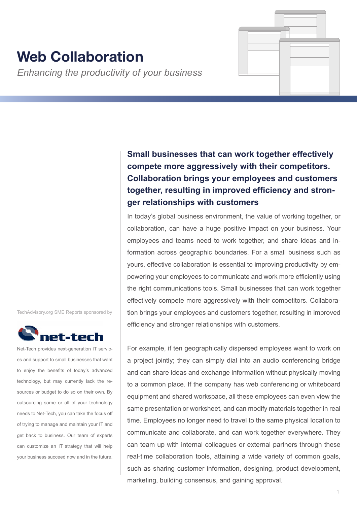# **Web Collaboration**

*Enhancing the productivity of your business*

**Small businesses that can work together effectively compete more aggressively with their competitors. Collaboration brings your employees and customers together, resulting in improved efficiency and stronger relationships with customers**

In today's global business environment, the value of working together, or collaboration, can have a huge positive impact on your business. Your employees and teams need to work together, and share ideas and information across geographic boundaries. For a small business such as yours, effective collaboration is essential to improving productivity by empowering your employees to communicate and work more efficiently using the right communications tools. Small businesses that can work together effectively compete more aggressively with their competitors. Collaboration brings your employees and customers together, resulting in improved efficiency and stronger relationships with customers.

For example, if ten geographically dispersed employees want to work on a project jointly; they can simply dial into an audio conferencing bridge and can share ideas and exchange information without physically moving to a common place. If the company has web conferencing or whiteboard equipment and shared workspace, all these employees can even view the same presentation or worksheet, and can modify materials together in real time. Employees no longer need to travel to the same physical location to communicate and collaborate, and can work together everywhere. They can team up with internal colleagues or external partners through these real-time collaboration tools, attaining a wide variety of common goals, such as sharing customer information, designing, product development, marketing, building consensus, and gaining approval.

TechAdvisory.org SME Reports sponsored by



Net-Tech provides next-generation IT services and support to small businesses that want to enjoy the benefits of today's advanced technology, but may currently lack the resources or budget to do so on their own. By outsourcing some or all of your technology needs to Net-Tech, you can take the focus off of trying to manage and maintain your IT and get back to business. Our team of experts can customize an IT strategy that will help your business succeed now and in the future.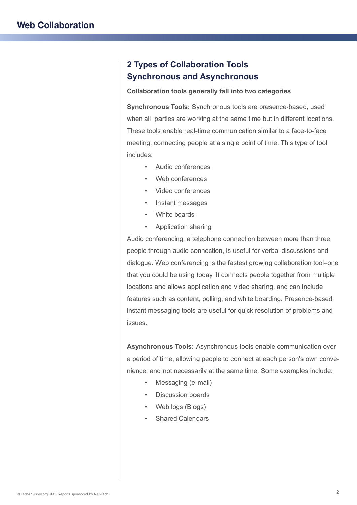## **2 Types of Collaboration Tools Synchronous and Asynchronous**

#### **Collaboration tools generally fall into two categories**

**Synchronous Tools:** Synchronous tools are presence-based, used when all parties are working at the same time but in different locations. These tools enable real-time communication similar to a face-to-face meeting, connecting people at a single point of time. This type of tool includes:

- Audio conferences
- Web conferences
- Video conferences
- Instant messages
- White boards
- Application sharing

Audio conferencing, a telephone connection between more than three people through audio connection, is useful for verbal discussions and dialogue. Web conferencing is the fastest growing collaboration tool–one that you could be using today. It connects people together from multiple locations and allows application and video sharing, and can include features such as content, polling, and white boarding. Presence-based instant messaging tools are useful for quick resolution of problems and issues.

**Asynchronous Tools:** Asynchronous tools enable communication over a period of time, allowing people to connect at each person's own convenience, and not necessarily at the same time. Some examples include:

- Messaging (e-mail)
- Discussion boards
- Web logs (Blogs)
- Shared Calendars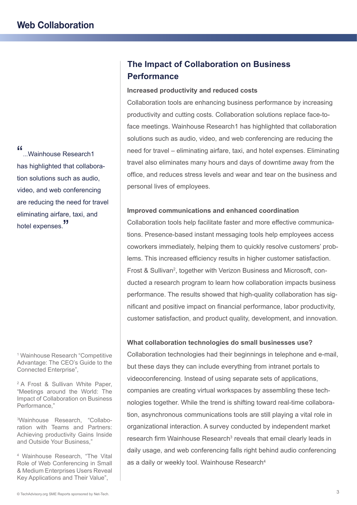"...<br>"...Wainhouse Research1... has highlighted that collaboration solutions such as audio, video, and web conferencing are reducing the need for travel eliminating airfare, taxi, and hotel expenses.<sup>"</sup>

1 Wainhouse Research "Competitive Advantage: The CEO's Guide to the Connected Enterprise",

<sup>2</sup> A Frost & Sullivan White Paper, "Meetings around the World: The Impact of Collaboration on Business Performance,"

3 Wainhouse Research, "Collaboration with Teams and Partners: Achieving productivity Gains Inside and Outside Your Business,"

4 Wainhouse Research, "The Vital Role of Web Conferencing in Small & Medium Enterprises Users Reveal Key Applications and Their Value",

# **The Impact of Collaboration on Business Performance**

#### **Increased productivity and reduced costs**

Collaboration tools are enhancing business performance by increasing productivity and cutting costs. Collaboration solutions replace face-toface meetings. Wainhouse Research1 has highlighted that collaboration solutions such as audio, video, and web conferencing are reducing the need for travel – eliminating airfare, taxi, and hotel expenses. Eliminating travel also eliminates many hours and days of downtime away from the office, and reduces stress levels and wear and tear on the business and personal lives of employees.

#### **Improved communications and enhanced coordination**

Collaboration tools help facilitate faster and more effective communications. Presence-based instant messaging tools help employees access coworkers immediately, helping them to quickly resolve customers' problems. This increased efficiency results in higher customer satisfaction. Frost & Sullivan<sup>2</sup>, together with Verizon Business and Microsoft, conducted a research program to learn how collaboration impacts business performance. The results showed that high-quality collaboration has significant and positive impact on financial performance, labor productivity, customer satisfaction, and product quality, development, and innovation.

#### **What collaboration technologies do small businesses use?**

Collaboration technologies had their beginnings in telephone and e-mail, but these days they can include everything from intranet portals to videoconferencing. Instead of using separate sets of applications, companies are creating virtual workspaces by assembling these technologies together. While the trend is shifting toward real-time collaboration, asynchronous communications tools are still playing a vital role in organizational interaction. A survey conducted by independent market research firm Wainhouse Research<sup>3</sup> reveals that email clearly leads in daily usage, and web conferencing falls right behind audio conferencing as a daily or weekly tool. Wainhouse Research<sup>4</sup>